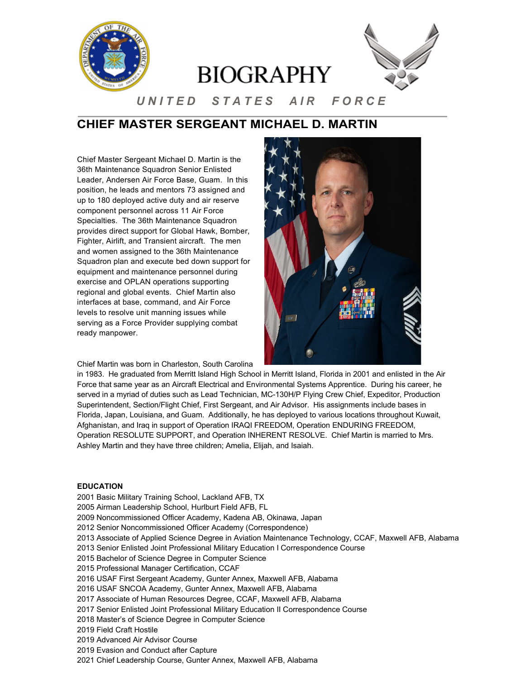

# **CHIEF MASTER SERGEANT MICHAEL D. MARTIN**

Chief Master Sergeant Michael D. Martin is the 36th Maintenance Squadron Senior Enlisted Leader, Andersen Air Force Base, Guam. In this position, he leads and mentors 73 assigned and up to 180 deployed active duty and air reserve component personnel across 11 Air Force Specialties. The 36th Maintenance Squadron provides direct support for Global Hawk, Bomber, Fighter, Airlift, and Transient aircraft. The men and women assigned to the 36th Maintenance Squadron plan and execute bed down support for equipment and maintenance personnel during exercise and OPLAN operations supporting regional and global events. Chief Martin also interfaces at base, command, and Air Force levels to resolve unit manning issues while serving as a Force Provider supplying combat ready manpower.

Chief Martin was born in Charleston, South Carolina



in 1983. He graduated from Merritt Island High School in Merritt Island, Florida in 2001 and enlisted in the Air Force that same year as an Aircraft Electrical and Environmental Systems Apprentice. During his career, he served in a myriad of duties such as Lead Technician, MC-130H/P Flying Crew Chief, Expeditor, Production Superintendent, Section/Flight Chief, First Sergeant, and Air Advisor. His assignments include bases in Florida, Japan, Louisiana, and Guam. Additionally, he has deployed to various locations throughout Kuwait, Afghanistan, and Iraq in support of Operation IRAQI FREEDOM, Operation ENDURING FREEDOM, Operation RESOLUTE SUPPORT, and Operation INHERENT RESOLVE. Chief Martin is married to Mrs. Ashley Martin and they have three children; Amelia, Elijah, and Isaiah.

### **EDUCATION**

- 2001 Basic Military Training School, Lackland AFB, TX
- 2005 Airman Leadership School, Hurlburt Field AFB, FL
- 2009 Noncommissioned Officer Academy, Kadena AB, Okinawa, Japan
- 2012 Senior Noncommissioned Officer Academy (Correspondence)
- 2013 Associate of Applied Science Degree in Aviation Maintenance Technology, CCAF, Maxwell AFB, Alabama
- 2013 Senior Enlisted Joint Professional Military Education I Correspondence Course
- 2015 Bachelor of Science Degree in Computer Science
- 2015 Professional Manager Certification, CCAF
- 2016 USAF First Sergeant Academy, Gunter Annex, Maxwell AFB, Alabama
- 2016 USAF SNCOA Academy, Gunter Annex, Maxwell AFB, Alabama
- 2017 Associate of Human Resources Degree, CCAF, Maxwell AFB, Alabama
- 2017 Senior Enlisted Joint Professional Military Education II Correspondence Course
- 2018 Master's of Science Degree in Computer Science
- 2019 Field Craft Hostile
- 2019 Advanced Air Advisor Course
- 2019 Evasion and Conduct after Capture
- 2021 Chief Leadership Course, Gunter Annex, Maxwell AFB, Alabama